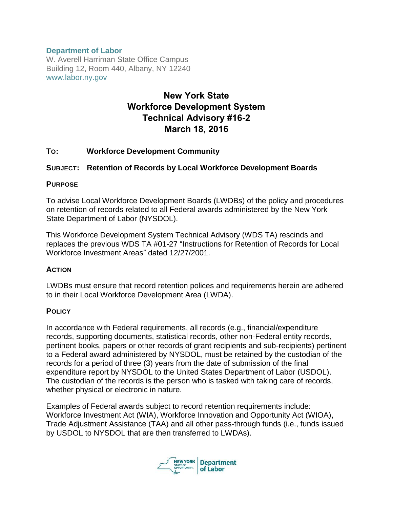### **Department of Labor**

W. Averell Harriman State Office Campus Building 12, Room 440, Albany, NY 12240 www.labor.ny.gov

# New York State Workforce Development System Technical Advisory #16-2 March 18, 2016

### **TO: Workforce Development Community**

### **SUBJECT: Retention of Records by Local Workforce Development Boards**

### **PURPOSE**

To advise Local Workforce Development Boards (LWDBs) of the policy and procedures on retention of records related to all Federal awards administered by the New York State Department of Labor (NYSDOL).

This Workforce Development System Technical Advisory (WDS TA) rescinds and replaces the previous WDS TA #01-27 "Instructions for Retention of Records for Local Workforce Investment Areas" dated 12/27/2001.

### **ACTION**

LWDBs must ensure that record retention polices and requirements herein are adhered to in their Local Workforce Development Area (LWDA).

### **POLICY**

In accordance with Federal requirements, all records (e.g., financial/expenditure records, supporting documents, statistical records, other non-Federal entity records, pertinent books, papers or other records of grant recipients and sub-recipients) pertinent to a Federal award administered by NYSDOL, must be retained by the custodian of the records for a period of three (3) years from the date of submission of the final expenditure report by NYSDOL to the United States Department of Labor (USDOL). The custodian of the records is the person who is tasked with taking care of records, whether physical or electronic in nature.

Examples of Federal awards subject to record retention requirements include: Workforce Investment Act (WIA), Workforce Innovation and Opportunity Act (WIOA), Trade Adjustment Assistance (TAA) and all other pass-through funds (i.e., funds issued by USDOL to NYSDOL that are then transferred to LWDAs).

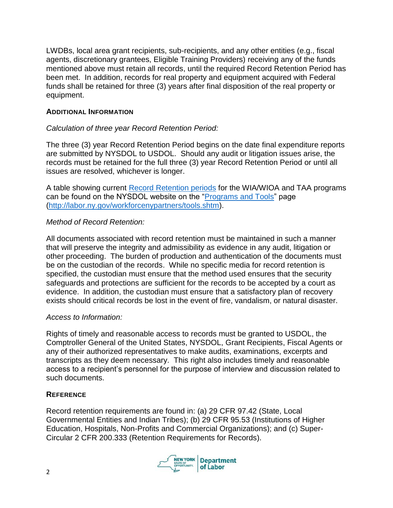LWDBs, local area grant recipients, sub-recipients, and any other entities (e.g., fiscal agents, discretionary grantees, Eligible Training Providers) receiving any of the funds mentioned above must retain all records, until the required Record Retention Period has been met. In addition, records for real property and equipment acquired with Federal funds shall be retained for three (3) years after final disposition of the real property or equipment.

### **ADDITIONAL INFORMATION**

# *Calculation of three year Record Retention Period:*

The three (3) year Record Retention Period begins on the date final expenditure reports are submitted by NYSDOL to USDOL. Should any audit or litigation issues arise, the records must be retained for the full three (3) year Record Retention Period or until all issues are resolved, whichever is longer.

A table showing current Record [Retention periods](https://labor.ny.gov/workforcenypartners/ta/record-retention.pdf) for the WIA/WIOA and TAA programs can be found on the NYSDOL website on the ["Programs and Tools"](https://www.labor.ny.gov/workforcenypartners/tools.shtm) page [\(http://labor.ny.gov/workforcenypartners/tools.shtm\)](http://labor.ny.gov/workforcenypartners/tools.shtm).

### *Method of Record Retention:*

All documents associated with record retention must be maintained in such a manner that will preserve the integrity and admissibility as evidence in any audit, litigation or other proceeding. The burden of production and authentication of the documents must be on the custodian of the records. While no specific media for record retention is specified, the custodian must ensure that the method used ensures that the security safeguards and protections are sufficient for the records to be accepted by a court as evidence. In addition, the custodian must ensure that a satisfactory plan of recovery exists should critical records be lost in the event of fire, vandalism, or natural disaster.

# *Access to Information:*

Rights of timely and reasonable access to records must be granted to USDOL, the Comptroller General of the United States, NYSDOL, Grant Recipients, Fiscal Agents or any of their authorized representatives to make audits, examinations, excerpts and transcripts as they deem necessary. This right also includes timely and reasonable access to a recipient's personnel for the purpose of interview and discussion related to such documents.

# **REFERENCE**

Record retention requirements are found in: (a) 29 CFR 97.42 (State, Local Governmental Entities and Indian Tribes); (b) 29 CFR 95.53 (Institutions of Higher Education, Hospitals, Non-Profits and Commercial Organizations); and (c) Super-Circular 2 CFR 200.333 (Retention Requirements for Records).